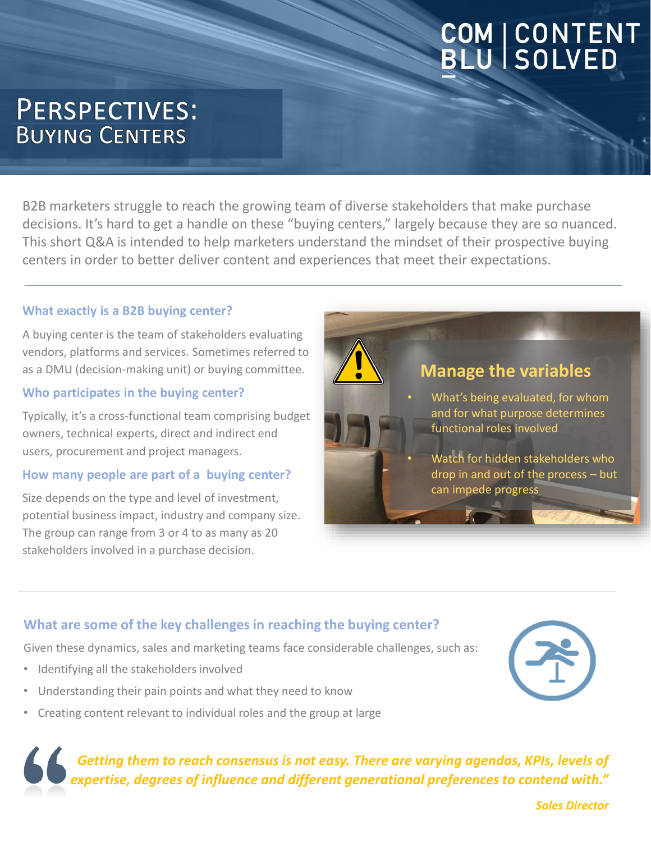# **COM | CONTENT<br>BLU | SOLVED**

# **PERSPECTIVES: BUYING CENTERS**

B2B marketers struggle to reach the growing team of diverse stakeholders that make purchase decisions. It's hard to get a handle on these "buying centers," largely because they are so nuanced. This short Q&A is intended to help marketers understand the mindset of their prospective buying centers in order to better deliver content and experiences that meet their expectations.

#### **What exactly is a B2B buying center?**

A buying center is the team of stakeholders evaluating vendors, platforms and services. Sometimes referred to as a DMU (decision-making unit) or buying committee.

#### **Who participates in the buying center?**

Typically, it's a cross-functional team comprising budget owners, technical experts, direct and indirect end users, procurement and project managers.

#### **How many people are part of a buying center?**

Size depends on the type and level of investment, potential business impact, industry and company size. The group can range from 3 or 4 to as many as 20 stakeholders involved in a purchase decision.



#### **What are some of the key challenges in reaching the buying center?**

Given these dynamics, sales and marketing teams face considerable challenges, such as:

- Identifying all the stakeholders involved
- Understanding their pain points and what they need to know
- Creating content relevant to individual roles and the group at large

*Getting them to reach consensus is not easy. There are varying agendas, KPIs, levels of expertise, degrees of influence and different generational preferences to contend with."*

*Sales Director*